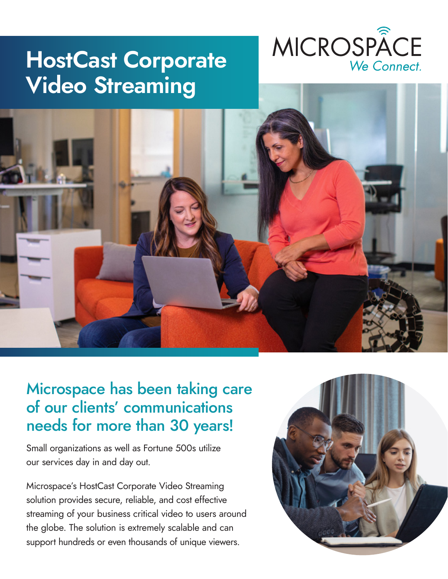## **HostCast Corporate Video Streaming**





## Microspace has been taking care of our clients' communications needs for more than 30 years!

Small organizations as well as Fortune 500s utilize our services day in and day out.

Microspace's HostCast Corporate Video Streaming solution provides secure, reliable, and cost effective streaming of your business critical video to users around the globe. The solution is extremely scalable and can support hundreds or even thousands of unique viewers.